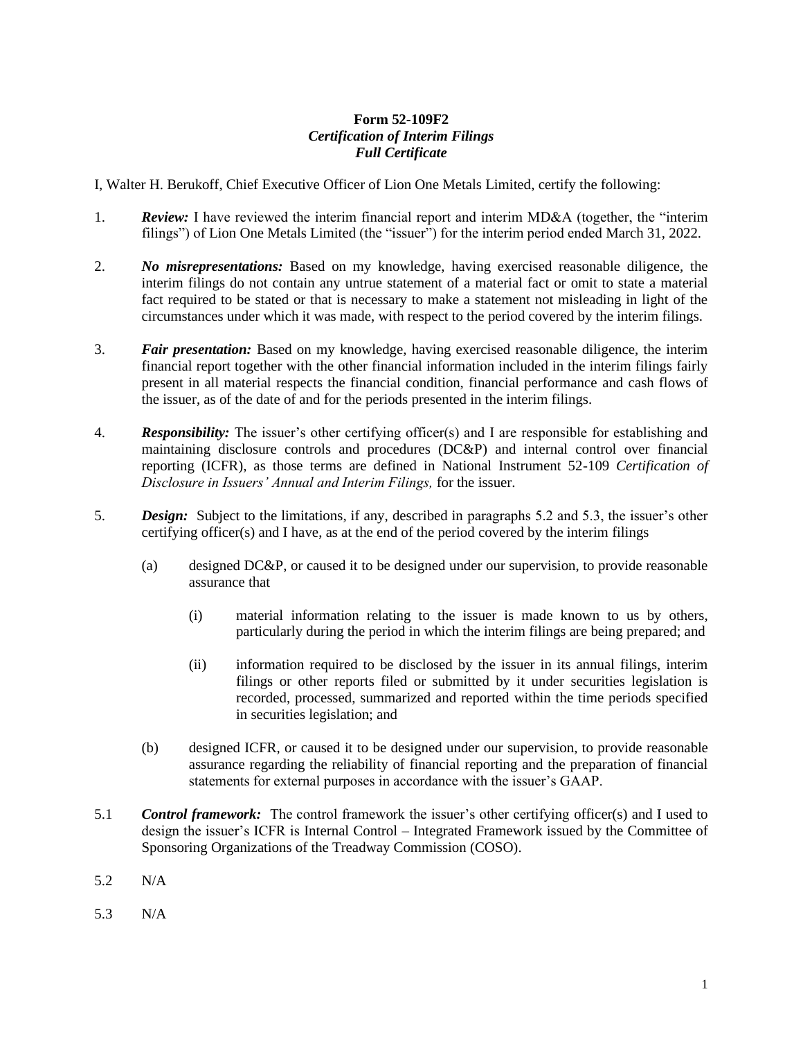## **Form 52-109F2** *Certification of Interim Filings Full Certificate*

I, Walter H. Berukoff, Chief Executive Officer of Lion One Metals Limited, certify the following:

- 1. *Review:* I have reviewed the interim financial report and interim MD&A (together, the "interim filings") of Lion One Metals Limited (the "issuer") for the interim period ended March 31, 2022.
- 2. *No misrepresentations:* Based on my knowledge, having exercised reasonable diligence, the interim filings do not contain any untrue statement of a material fact or omit to state a material fact required to be stated or that is necessary to make a statement not misleading in light of the circumstances under which it was made, with respect to the period covered by the interim filings.
- 3. *Fair presentation:* Based on my knowledge, having exercised reasonable diligence, the interim financial report together with the other financial information included in the interim filings fairly present in all material respects the financial condition, financial performance and cash flows of the issuer, as of the date of and for the periods presented in the interim filings.
- 4. *Responsibility:* The issuer's other certifying officer(s) and I are responsible for establishing and maintaining disclosure controls and procedures (DC&P) and internal control over financial reporting (ICFR), as those terms are defined in National Instrument 52-109 *Certification of Disclosure in Issuers' Annual and Interim Filings,* for the issuer.
- 5. *Design:* Subject to the limitations, if any, described in paragraphs 5.2 and 5.3, the issuer's other certifying officer(s) and I have, as at the end of the period covered by the interim filings
	- (a) designed DC&P, or caused it to be designed under our supervision, to provide reasonable assurance that
		- (i) material information relating to the issuer is made known to us by others, particularly during the period in which the interim filings are being prepared; and
		- (ii) information required to be disclosed by the issuer in its annual filings, interim filings or other reports filed or submitted by it under securities legislation is recorded, processed, summarized and reported within the time periods specified in securities legislation; and
	- (b) designed ICFR, or caused it to be designed under our supervision, to provide reasonable assurance regarding the reliability of financial reporting and the preparation of financial statements for external purposes in accordance with the issuer's GAAP.
- 5.1 *Control framework:* The control framework the issuer's other certifying officer(s) and I used to design the issuer's ICFR is Internal Control – Integrated Framework issued by the Committee of Sponsoring Organizations of the Treadway Commission (COSO).
- 5.2 N/A
- 5.3 N/A